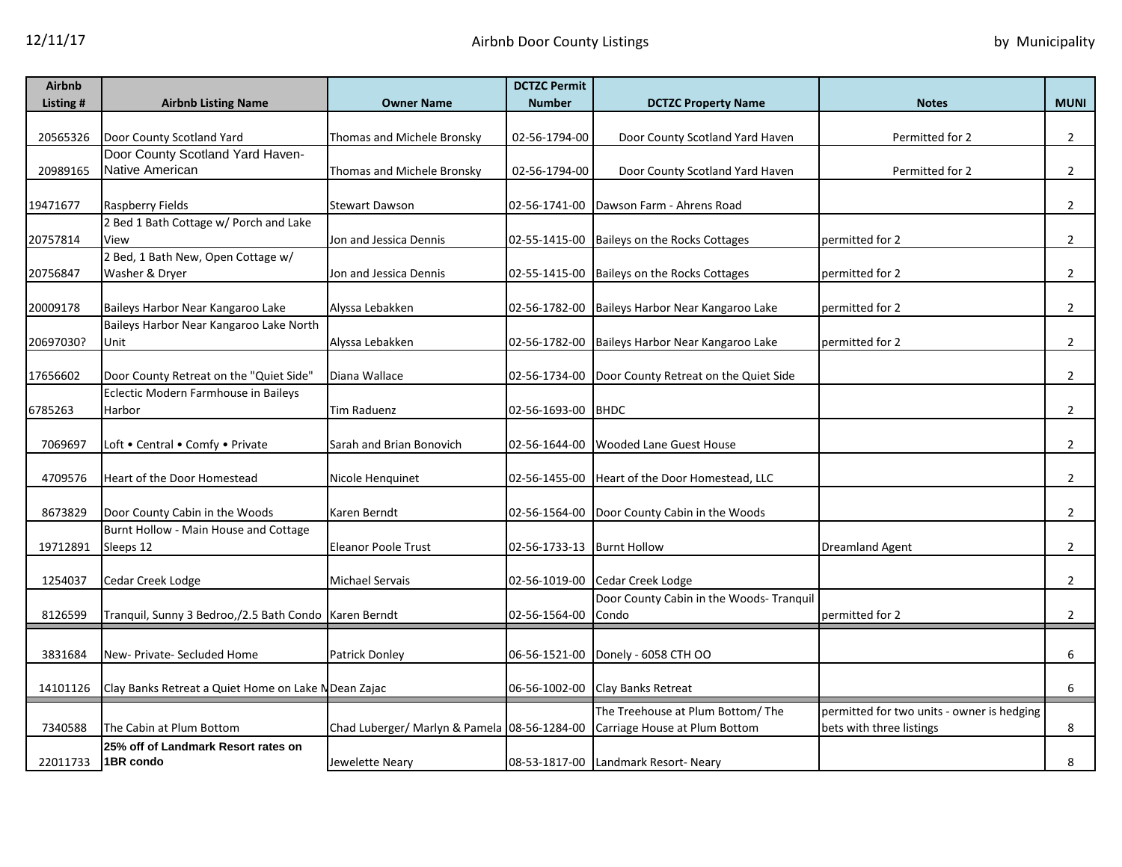| <b>Airbnb</b> |                                                         |                                                                            | <b>DCTZC Permit</b>        |                                                     |                                            |                |
|---------------|---------------------------------------------------------|----------------------------------------------------------------------------|----------------------------|-----------------------------------------------------|--------------------------------------------|----------------|
| Listing #     | <b>Airbnb Listing Name</b>                              | <b>Owner Name</b>                                                          | <b>Number</b>              | <b>DCTZC Property Name</b>                          | <b>Notes</b>                               | <b>MUNI</b>    |
|               |                                                         |                                                                            |                            |                                                     |                                            |                |
| 20565326      | Door County Scotland Yard                               | Thomas and Michele Bronsky                                                 | 02-56-1794-00              | Door County Scotland Yard Haven                     | Permitted for 2                            | $\overline{2}$ |
|               | Door County Scotland Yard Haven-                        |                                                                            |                            |                                                     |                                            |                |
| 20989165      | Native American                                         | Thomas and Michele Bronsky                                                 | 02-56-1794-00              | Door County Scotland Yard Haven                     | Permitted for 2                            | $\overline{2}$ |
| 19471677      | Raspberry Fields                                        | <b>Stewart Dawson</b>                                                      |                            | 02-56-1741-00 Dawson Farm - Ahrens Road             |                                            | $\overline{2}$ |
|               | 2 Bed 1 Bath Cottage w/ Porch and Lake                  |                                                                            |                            |                                                     |                                            |                |
| 20757814      | View                                                    | Jon and Jessica Dennis                                                     |                            | 02-55-1415-00 Baileys on the Rocks Cottages         | permitted for 2                            | $\overline{2}$ |
|               | 2 Bed, 1 Bath New, Open Cottage w/                      |                                                                            |                            |                                                     |                                            |                |
| 20756847      | Washer & Dryer                                          | Jon and Jessica Dennis                                                     |                            | 02-55-1415-00 Baileys on the Rocks Cottages         | permitted for 2                            | $\overline{2}$ |
|               |                                                         |                                                                            |                            |                                                     |                                            |                |
| 20009178      | Baileys Harbor Near Kangaroo Lake                       | Alyssa Lebakken                                                            |                            | 02-56-1782-00 Baileys Harbor Near Kangaroo Lake     | permitted for 2                            | $\overline{2}$ |
|               | Baileys Harbor Near Kangaroo Lake North                 |                                                                            |                            |                                                     |                                            |                |
| 20697030?     | Unit                                                    | Alyssa Lebakken                                                            |                            | 02-56-1782-00 Baileys Harbor Near Kangaroo Lake     | permitted for 2                            | $\overline{2}$ |
|               |                                                         |                                                                            |                            |                                                     |                                            |                |
| 17656602      | Door County Retreat on the "Quiet Side"                 | Diana Wallace                                                              |                            | 02-56-1734-00 Door County Retreat on the Quiet Side |                                            | $\overline{2}$ |
|               | Eclectic Modern Farmhouse in Baileys                    |                                                                            |                            |                                                     |                                            |                |
| 6785263       | Harbor                                                  | Tim Raduenz                                                                | 02-56-1693-00 BHDC         |                                                     |                                            | $\overline{2}$ |
|               |                                                         |                                                                            |                            |                                                     |                                            |                |
| 7069697       | Loft • Central • Comfy • Private                        | Sarah and Brian Bonovich                                                   |                            | 02-56-1644-00 Wooded Lane Guest House               |                                            | $\overline{2}$ |
| 4709576       | Heart of the Door Homestead                             | Nicole Henquinet                                                           |                            | 02-56-1455-00 Heart of the Door Homestead, LLC      |                                            | $\overline{2}$ |
|               |                                                         |                                                                            |                            |                                                     |                                            |                |
| 8673829       | Door County Cabin in the Woods                          | Karen Berndt                                                               |                            | 02-56-1564-00 Door County Cabin in the Woods        |                                            | $\overline{2}$ |
|               | Burnt Hollow - Main House and Cottage                   |                                                                            |                            |                                                     |                                            |                |
| 19712891      | Sleeps 12                                               | <b>Eleanor Poole Trust</b>                                                 | 02-56-1733-13 Burnt Hollow |                                                     | <b>Dreamland Agent</b>                     | $\overline{2}$ |
|               |                                                         |                                                                            |                            |                                                     |                                            |                |
| 1254037       | Cedar Creek Lodge                                       | <b>Michael Servais</b>                                                     |                            | 02-56-1019-00 Cedar Creek Lodge                     |                                            | $\overline{2}$ |
|               |                                                         |                                                                            |                            | Door County Cabin in the Woods- Tranguil            |                                            |                |
| 8126599       | Tranquil, Sunny 3 Bedroo,/2.5 Bath Condo   Karen Berndt |                                                                            | 02-56-1564-00              | Condo                                               | permitted for 2                            | $\overline{2}$ |
|               |                                                         |                                                                            |                            |                                                     |                                            |                |
| 3831684       | New- Private- Secluded Home                             | Patrick Donley                                                             |                            | 06-56-1521-00 Donely - 6058 CTH OO                  |                                            | 6              |
|               |                                                         |                                                                            |                            |                                                     |                                            |                |
| 14101126      | Clay Banks Retreat a Quiet Home on Lake N Dean Zajac    |                                                                            |                            | 06-56-1002-00 Clay Banks Retreat                    |                                            | 6              |
|               |                                                         |                                                                            |                            | The Treehouse at Plum Bottom/ The                   | permitted for two units - owner is hedging |                |
| 7340588       | The Cabin at Plum Bottom                                | Chad Luberger/ Marlyn & Pamela 08-56-1284-00 Carriage House at Plum Bottom |                            |                                                     | bets with three listings                   | 8              |
|               | 25% off of Landmark Resort rates on                     |                                                                            |                            |                                                     |                                            |                |
| 22011733      | 1BR condo                                               | Jewelette Neary                                                            |                            | 08-53-1817-00 Landmark Resort- Neary                |                                            | 8              |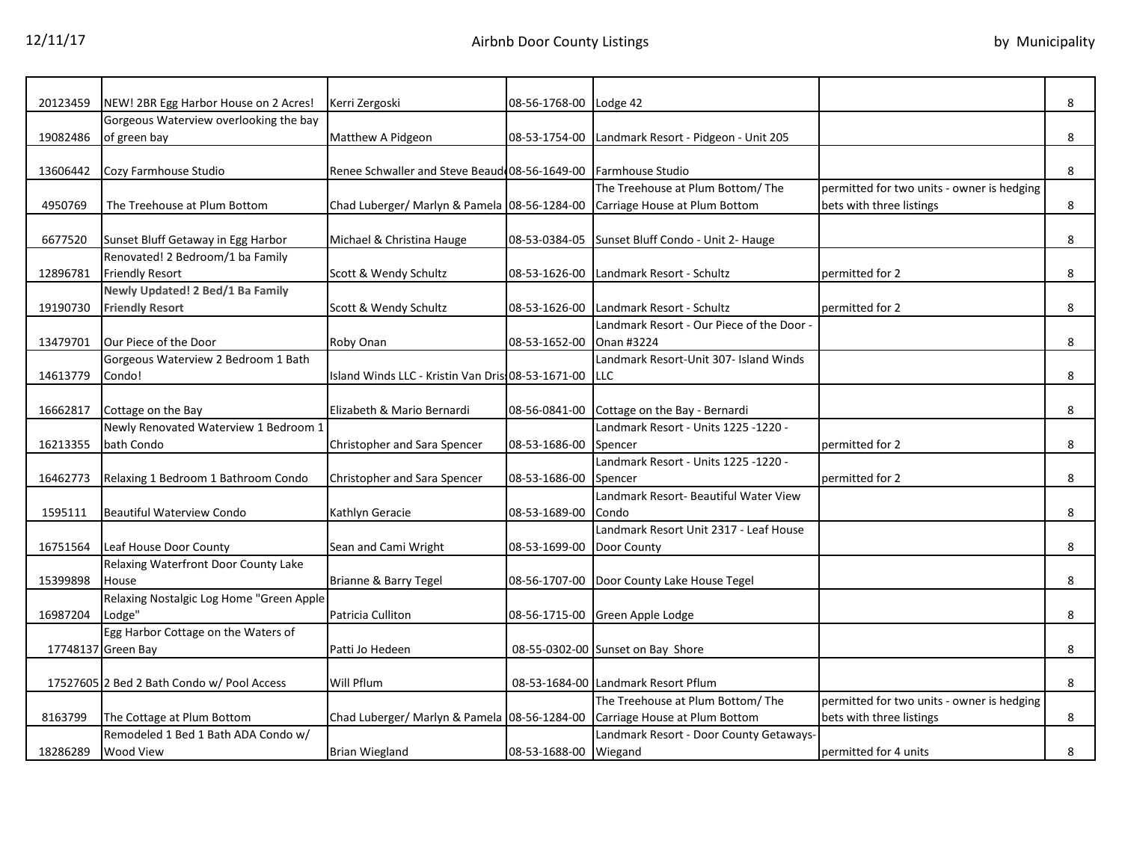| 20123459 | NEW! 2BR Egg Harbor House on 2 Acres!      | Kerri Zergoski                                                 | 08-56-1768-00 Lodge 42    |                                                    |                                            | 8 |
|----------|--------------------------------------------|----------------------------------------------------------------|---------------------------|----------------------------------------------------|--------------------------------------------|---|
|          | Gorgeous Waterview overlooking the bay     |                                                                |                           |                                                    |                                            |   |
| 19082486 | of green bay                               | Matthew A Pidgeon                                              |                           | 08-53-1754-00 Landmark Resort - Pidgeon - Unit 205 |                                            | 8 |
|          |                                            |                                                                |                           |                                                    |                                            |   |
| 13606442 | Cozy Farmhouse Studio                      | Renee Schwaller and Steve Beaud 08-56-1649-00 Farmhouse Studio |                           |                                                    |                                            | 8 |
|          |                                            |                                                                |                           | The Treehouse at Plum Bottom/ The                  | permitted for two units - owner is hedging |   |
| 4950769  | The Treehouse at Plum Bottom               | Chad Luberger/ Marlyn & Pamela 08-56-1284-00                   |                           | Carriage House at Plum Bottom                      | bets with three listings                   | 8 |
|          |                                            |                                                                |                           |                                                    |                                            |   |
| 6677520  | Sunset Bluff Getaway in Egg Harbor         | Michael & Christina Hauge                                      |                           | 08-53-0384-05 Sunset Bluff Condo - Unit 2- Hauge   |                                            | 8 |
|          | Renovated! 2 Bedroom/1 ba Family           |                                                                |                           |                                                    |                                            |   |
| 12896781 | <b>Friendly Resort</b>                     | Scott & Wendy Schultz                                          | 08-53-1626-00             | Landmark Resort - Schultz                          | permitted for 2                            | 8 |
|          | Newly Updated! 2 Bed/1 Ba Family           |                                                                |                           |                                                    |                                            |   |
| 19190730 | <b>Friendly Resort</b>                     | Scott & Wendy Schultz                                          | 08-53-1626-00             | Landmark Resort - Schultz                          | permitted for 2                            | 8 |
|          |                                            |                                                                |                           | Landmark Resort - Our Piece of the Door -          |                                            |   |
| 13479701 | Our Piece of the Door                      | Roby Onan                                                      | 08-53-1652-00             | Onan #3224                                         |                                            | 8 |
|          | Gorgeous Waterview 2 Bedroom 1 Bath        |                                                                |                           | Landmark Resort-Unit 307- Island Winds             |                                            |   |
| 14613779 | Condo!                                     | Island Winds LLC - Kristin Van Dris: 08-53-1671-00             |                           | <b>LLC</b>                                         |                                            | 8 |
|          |                                            |                                                                |                           |                                                    |                                            |   |
| 16662817 | Cottage on the Bay                         | Elizabeth & Mario Bernardi                                     |                           | 08-56-0841-00 Cottage on the Bay - Bernardi        |                                            | 8 |
|          | Newly Renovated Waterview 1 Bedroom 1      |                                                                |                           | Landmark Resort - Units 1225 -1220 -               |                                            |   |
| 16213355 | bath Condo                                 | Christopher and Sara Spencer                                   | 08-53-1686-00             | Spencer                                            | permitted for 2                            | 8 |
|          |                                            |                                                                |                           | Landmark Resort - Units 1225 -1220 -               |                                            |   |
| 16462773 | Relaxing 1 Bedroom 1 Bathroom Condo        | Christopher and Sara Spencer                                   | 08-53-1686-00             | Spencer                                            | permitted for 2                            | 8 |
|          |                                            |                                                                |                           | Landmark Resort- Beautiful Water View              |                                            |   |
| 1595111  | <b>Beautiful Waterview Condo</b>           | Kathlyn Geracie                                                | 08-53-1689-00             | Condo                                              |                                            | 8 |
|          |                                            |                                                                |                           | Landmark Resort Unit 2317 - Leaf House             |                                            |   |
| 16751564 | Leaf House Door County                     | Sean and Cami Wright                                           | 08-53-1699-00 Door County |                                                    |                                            | 8 |
|          | Relaxing Waterfront Door County Lake       |                                                                |                           |                                                    |                                            |   |
| 15399898 | House                                      | Brianne & Barry Tegel                                          |                           | 08-56-1707-00 Door County Lake House Tegel         |                                            | 8 |
|          | Relaxing Nostalgic Log Home "Green Apple   |                                                                |                           |                                                    |                                            |   |
| 16987204 | Lodge"                                     | Patricia Culliton                                              |                           | 08-56-1715-00 Green Apple Lodge                    |                                            | 8 |
|          | Egg Harbor Cottage on the Waters of        |                                                                |                           |                                                    |                                            |   |
|          | 17748137 Green Bay                         | Patti Jo Hedeen                                                |                           | 08-55-0302-00 Sunset on Bay Shore                  |                                            | 8 |
|          |                                            |                                                                |                           |                                                    |                                            |   |
|          | 17527605 2 Bed 2 Bath Condo w/ Pool Access | Will Pflum                                                     |                           | 08-53-1684-00 Landmark Resort Pflum                |                                            | 8 |
|          |                                            |                                                                |                           | The Treehouse at Plum Bottom/ The                  | permitted for two units - owner is hedging |   |
| 8163799  | The Cottage at Plum Bottom                 | Chad Luberger/ Marlyn & Pamela 08-56-1284-00                   |                           | Carriage House at Plum Bottom                      | bets with three listings                   | 8 |
|          | Remodeled 1 Bed 1 Bath ADA Condo w/        |                                                                |                           | Landmark Resort - Door County Getaways-            |                                            |   |
| 18286289 | <b>Wood View</b>                           | <b>Brian Wiegland</b>                                          | 08-53-1688-00 Wiegand     |                                                    | permitted for 4 units                      | 8 |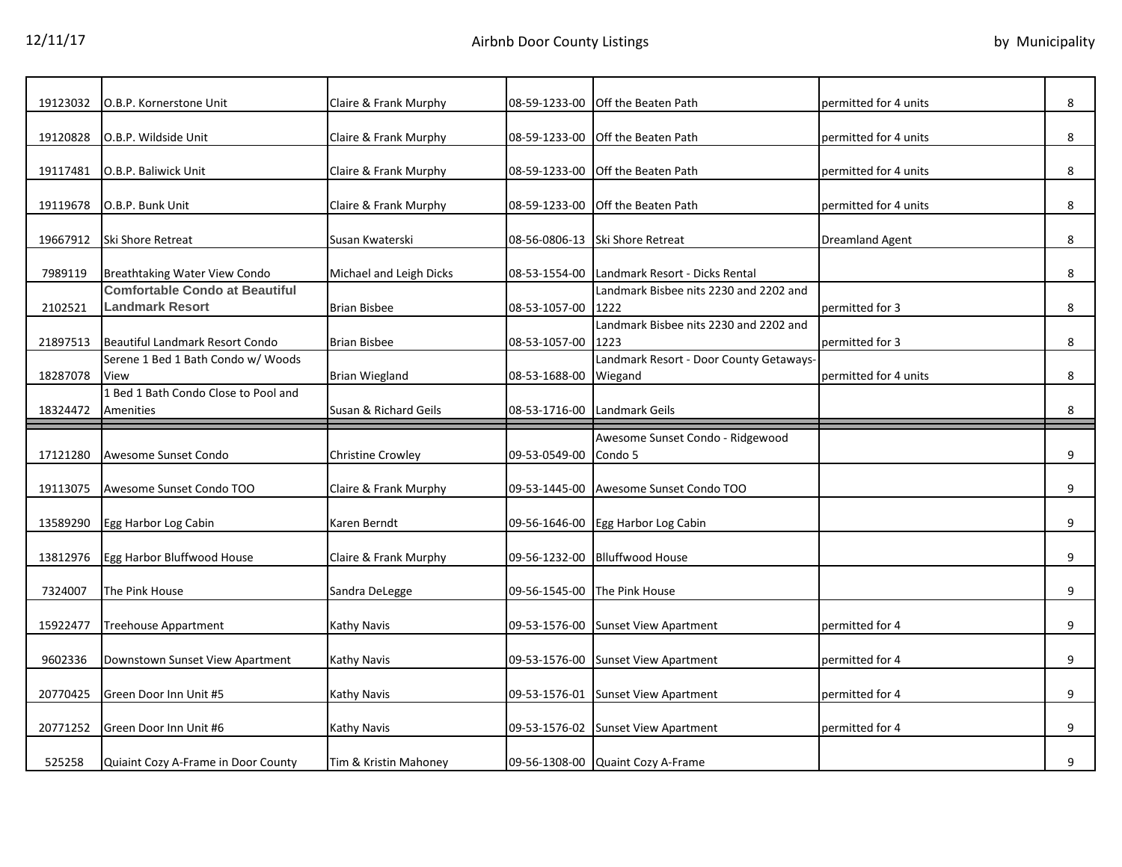| 19123032 | O.B.P. Kornerstone Unit                                  | Claire & Frank Murphy    | 08-59-1233-00 | <b>Off the Beaten Path</b>                         | permitted for 4 units  | 8 |
|----------|----------------------------------------------------------|--------------------------|---------------|----------------------------------------------------|------------------------|---|
| 19120828 | O.B.P. Wildside Unit                                     | Claire & Frank Murphy    | 08-59-1233-00 | <b>Off the Beaten Path</b>                         | permitted for 4 units  | 8 |
| 19117481 | O.B.P. Baliwick Unit                                     | Claire & Frank Murphy    | 08-59-1233-00 | <b>Off the Beaten Path</b>                         | permitted for 4 units  | 8 |
| 19119678 | O.B.P. Bunk Unit                                         | Claire & Frank Murphy    |               | 08-59-1233-00 Off the Beaten Path                  | permitted for 4 units  | 8 |
| 19667912 | Ski Shore Retreat                                        | Susan Kwaterski          |               | 08-56-0806-13 Ski Shore Retreat                    | <b>Dreamland Agent</b> | 8 |
| 7989119  | Breathtaking Water View Condo                            | Michael and Leigh Dicks  | 08-53-1554-00 | Landmark Resort - Dicks Rental                     |                        | 8 |
| 2102521  | <b>Comfortable Condo at Beautiful</b><br>Landmark Resort | <b>Brian Bisbee</b>      | 08-53-1057-00 | Landmark Bisbee nits 2230 and 2202 and<br>1222     | permitted for 3        | 8 |
| 21897513 | Beautiful Landmark Resort Condo                          | <b>Brian Bisbee</b>      | 08-53-1057-00 | Landmark Bisbee nits 2230 and 2202 and<br>1223     | permitted for 3        | 8 |
| 18287078 | Serene 1 Bed 1 Bath Condo w/ Woods<br>View               | <b>Brian Wiegland</b>    | 08-53-1688-00 | Landmark Resort - Door County Getaways-<br>Wiegand | permitted for 4 units  | 8 |
| 18324472 | 1 Bed 1 Bath Condo Close to Pool and<br>Amenities        | Susan & Richard Geils    | 08-53-1716-00 | Landmark Geils                                     |                        | 8 |
|          |                                                          |                          |               |                                                    |                        |   |
|          |                                                          |                          |               |                                                    |                        |   |
| 17121280 | Awesome Sunset Condo                                     | <b>Christine Crowley</b> | 09-53-0549-00 | Awesome Sunset Condo - Ridgewood<br>Condo 5        |                        | 9 |
| 19113075 | Awesome Sunset Condo TOO                                 | Claire & Frank Murphy    | 09-53-1445-00 | Awesome Sunset Condo TOO                           |                        | 9 |
| 13589290 | Egg Harbor Log Cabin                                     | Karen Berndt             | 09-56-1646-00 | Egg Harbor Log Cabin                               |                        | 9 |
| 13812976 | Egg Harbor Bluffwood House                               | Claire & Frank Murphy    | 09-56-1232-00 | <b>Blluffwood House</b>                            |                        | 9 |
| 7324007  | The Pink House                                           | Sandra DeLegge           | 09-56-1545-00 | The Pink House                                     |                        | 9 |
| 15922477 | Treehouse Appartment                                     | Kathy Navis              | 09-53-1576-00 | <b>Sunset View Apartment</b>                       | permitted for 4        | 9 |
| 9602336  | Downstown Sunset View Apartment                          | Kathy Navis              | 09-53-1576-00 | <b>Sunset View Apartment</b>                       | permitted for 4        | 9 |
| 20770425 | Green Door Inn Unit #5                                   | <b>Kathy Navis</b>       | 09-53-1576-01 | <b>Sunset View Apartment</b>                       | permitted for 4        | 9 |
| 20771252 | Green Door Inn Unit #6                                   | Kathy Navis              | 09-53-1576-02 | <b>Sunset View Apartment</b>                       | permitted for 4        | 9 |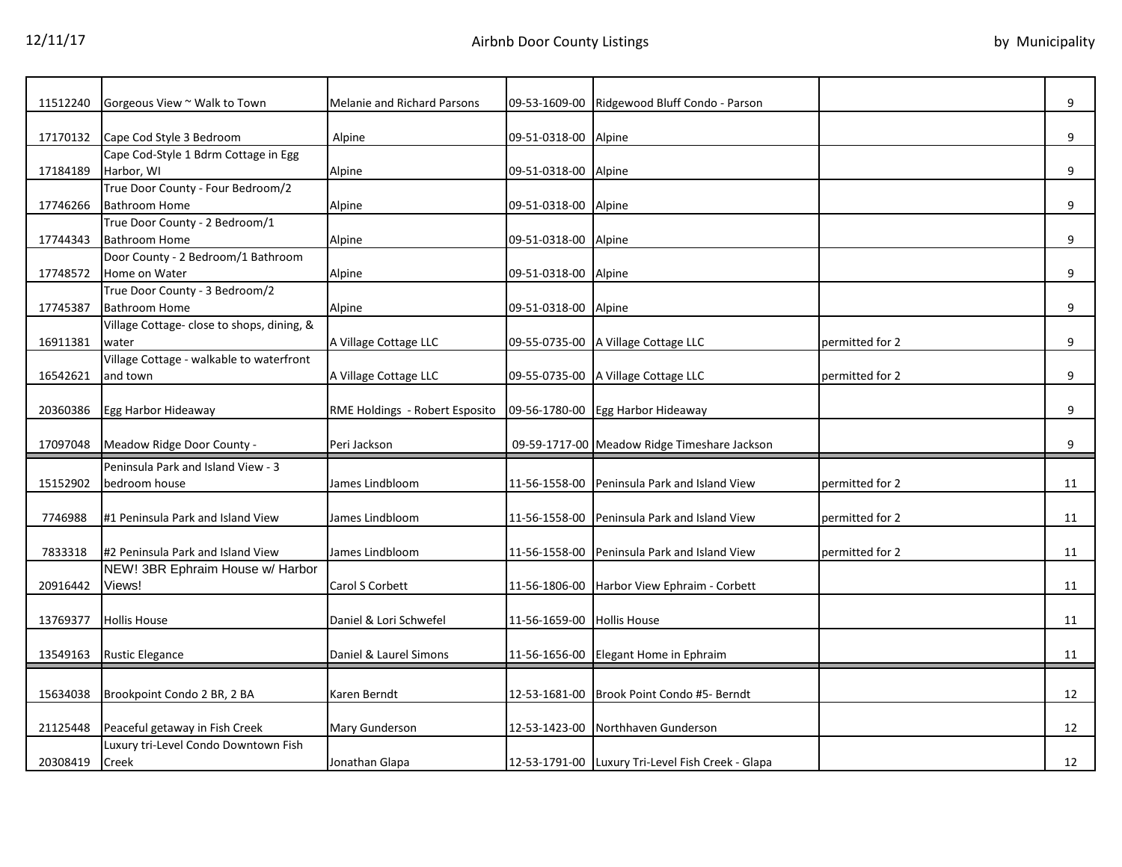| 11512240 | Gorgeous View ~ Walk to Town               | Melanie and Richard Parsons    | 09-53-1609-00              | Ridgewood Bluff Condo - Parson                    |                 | 9  |
|----------|--------------------------------------------|--------------------------------|----------------------------|---------------------------------------------------|-----------------|----|
| 17170132 | Cape Cod Style 3 Bedroom                   | Alpine                         | 09-51-0318-00 Alpine       |                                                   |                 | 9  |
|          | Cape Cod-Style 1 Bdrm Cottage in Egg       |                                |                            |                                                   |                 |    |
| 17184189 | Harbor, WI                                 | Alpine                         | 09-51-0318-00 Alpine       |                                                   |                 | 9  |
|          | True Door County - Four Bedroom/2          |                                |                            |                                                   |                 |    |
| 17746266 | <b>Bathroom Home</b>                       | Alpine                         | 09-51-0318-00 Alpine       |                                                   |                 | 9  |
|          | True Door County - 2 Bedroom/1             |                                |                            |                                                   |                 |    |
| 17744343 | Bathroom Home                              | Alpine                         | 09-51-0318-00 Alpine       |                                                   |                 | 9  |
|          | Door County - 2 Bedroom/1 Bathroom         |                                |                            |                                                   |                 |    |
| 17748572 | Home on Water                              | Alpine                         | 09-51-0318-00 Alpine       |                                                   |                 | 9  |
|          | True Door County - 3 Bedroom/2             |                                |                            |                                                   |                 |    |
| 17745387 | <b>Bathroom Home</b>                       | Alpine                         | 09-51-0318-00 Alpine       |                                                   |                 | 9  |
|          | Village Cottage- close to shops, dining, & |                                |                            |                                                   |                 |    |
| 16911381 | water                                      | A Village Cottage LLC          |                            | 09-55-0735-00   A Village Cottage LLC             | permitted for 2 | 9  |
|          | Village Cottage - walkable to waterfront   |                                |                            |                                                   |                 |    |
| 16542621 | and town                                   | A Village Cottage LLC          |                            | 09-55-0735-00 A Village Cottage LLC               | permitted for 2 | 9  |
|          |                                            |                                |                            |                                                   |                 |    |
| 20360386 | Egg Harbor Hideaway                        | RME Holdings - Robert Esposito |                            | 09-56-1780-00 Egg Harbor Hideaway                 |                 | 9  |
|          |                                            |                                |                            |                                                   |                 |    |
| 17097048 | Meadow Ridge Door County -                 | Peri Jackson                   |                            | 09-59-1717-00 Meadow Ridge Timeshare Jackson      |                 | 9  |
|          | Peninsula Park and Island View - 3         |                                |                            |                                                   |                 |    |
| 15152902 | bedroom house                              | James Lindbloom                |                            | 11-56-1558-00 Peninsula Park and Island View      | permitted for 2 | 11 |
|          |                                            |                                |                            |                                                   |                 |    |
| 7746988  | #1 Peninsula Park and Island View          | James Lindbloom                |                            | 11-56-1558-00 Peninsula Park and Island View      | permitted for 2 | 11 |
|          |                                            |                                |                            |                                                   |                 |    |
| 7833318  | #2 Peninsula Park and Island View          | James Lindbloom                |                            | 11-56-1558-00 Peninsula Park and Island View      | permitted for 2 | 11 |
|          | NEW! 3BR Ephraim House w/ Harbor           |                                |                            |                                                   |                 |    |
| 20916442 | Views!                                     | Carol S Corbett                | 11-56-1806-00              | Harbor View Ephraim - Corbett                     |                 | 11 |
|          |                                            |                                |                            |                                                   |                 |    |
| 13769377 | <b>Hollis House</b>                        | Daniel & Lori Schwefel         | 11-56-1659-00 Hollis House |                                                   |                 | 11 |
|          |                                            |                                |                            |                                                   |                 |    |
| 13549163 | <b>Rustic Elegance</b>                     | Daniel & Laurel Simons         |                            | 11-56-1656-00 Elegant Home in Ephraim             |                 | 11 |
|          |                                            |                                |                            |                                                   |                 |    |
| 15634038 | Brookpoint Condo 2 BR, 2 BA                | Karen Berndt                   |                            | 12-53-1681-00 Brook Point Condo #5- Berndt        |                 | 12 |
|          |                                            |                                |                            |                                                   |                 |    |
| 21125448 | Peaceful getaway in Fish Creek             | Mary Gunderson                 | 12-53-1423-00              | Northhaven Gunderson                              |                 | 12 |
|          | Luxury tri-Level Condo Downtown Fish       |                                |                            |                                                   |                 |    |
| 20308419 | Creek                                      | Jonathan Glapa                 |                            | 12-53-1791-00 Luxury Tri-Level Fish Creek - Glapa |                 | 12 |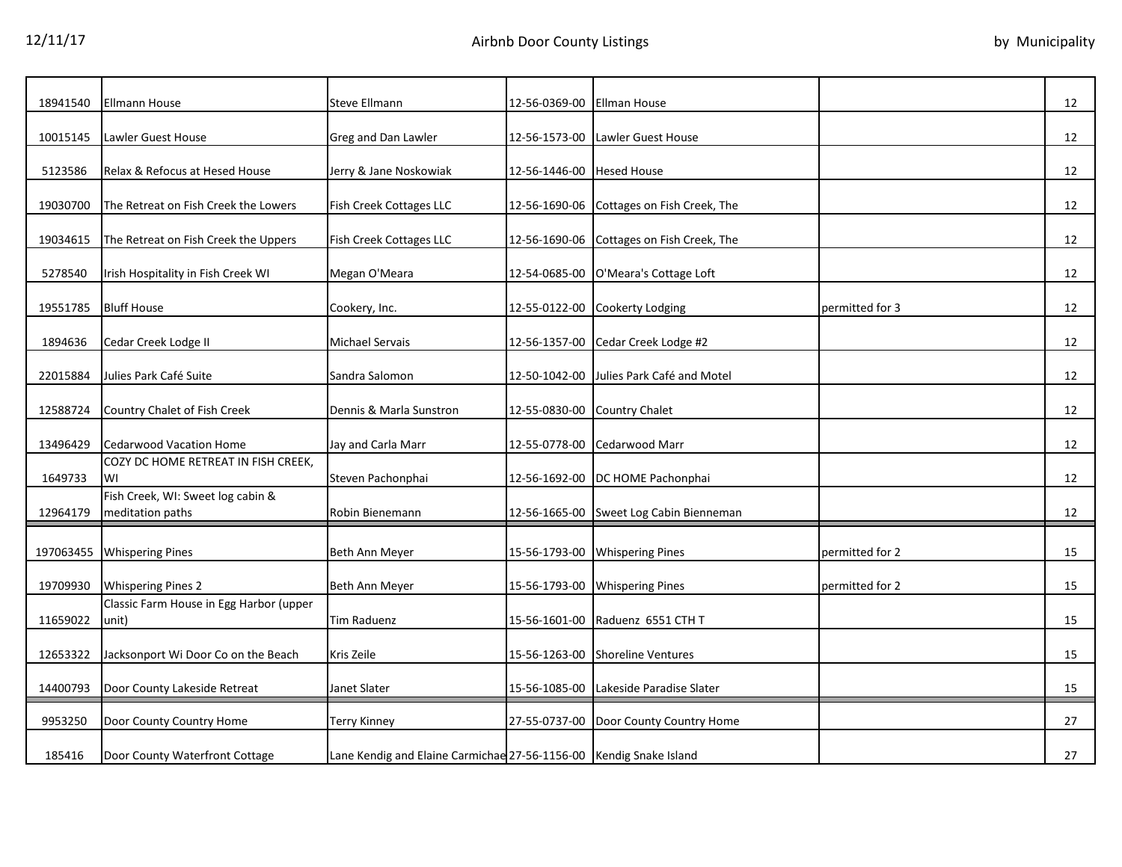| 18941540  | Ellmann House                                         | Steve Ellmann                                                      | 12-56-0369-00 | Ellman House                              |                 | 12 |
|-----------|-------------------------------------------------------|--------------------------------------------------------------------|---------------|-------------------------------------------|-----------------|----|
| 10015145  | Lawler Guest House                                    | Greg and Dan Lawler                                                | 12-56-1573-00 | Lawler Guest House                        |                 | 12 |
| 5123586   | Relax & Refocus at Hesed House                        | Jerry & Jane Noskowiak                                             | 12-56-1446-00 | <b>Hesed House</b>                        |                 | 12 |
| 19030700  | The Retreat on Fish Creek the Lowers                  | Fish Creek Cottages LLC                                            | 12-56-1690-06 | Cottages on Fish Creek, The               |                 | 12 |
| 19034615  | The Retreat on Fish Creek the Uppers                  | Fish Creek Cottages LLC                                            |               | 12-56-1690-06 Cottages on Fish Creek, The |                 | 12 |
| 5278540   | Irish Hospitality in Fish Creek WI                    | Megan O'Meara                                                      |               | 12-54-0685-00 O'Meara's Cottage Loft      |                 | 12 |
| 19551785  | <b>Bluff House</b>                                    | Cookery, Inc.                                                      |               | 12-55-0122-00 Cookerty Lodging            | permitted for 3 | 12 |
| 1894636   | Cedar Creek Lodge II                                  | Michael Servais                                                    | 12-56-1357-00 | Cedar Creek Lodge #2                      |                 | 12 |
| 22015884  | Julies Park Café Suite                                | Sandra Salomon                                                     | 12-50-1042-00 | Julies Park Café and Motel                |                 | 12 |
| 12588724  | Country Chalet of Fish Creek                          | Dennis & Marla Sunstron                                            |               | 12-55-0830-00 Country Chalet              |                 | 12 |
| 13496429  | <b>Cedarwood Vacation Home</b>                        | Jay and Carla Marr                                                 | 12-55-0778-00 | Cedarwood Marr                            |                 | 12 |
| 1649733   | COZY DC HOME RETREAT IN FISH CREEK,<br>WI             | Steven Pachonphai                                                  |               | 12-56-1692-00 DC HOME Pachonphai          |                 | 12 |
| 12964179  | Fish Creek, WI: Sweet log cabin &<br>meditation paths | Robin Bienemann                                                    |               | 12-56-1665-00 Sweet Log Cabin Bienneman   |                 | 12 |
|           |                                                       |                                                                    |               |                                           |                 |    |
| 197063455 | <b>Whispering Pines</b>                               | Beth Ann Meyer                                                     |               | 15-56-1793-00 Whispering Pines            | permitted for 2 | 15 |
| 19709930  | <b>Whispering Pines 2</b>                             | Beth Ann Meyer                                                     |               | 15-56-1793-00 Whispering Pines            | permitted for 2 | 15 |
| 11659022  | Classic Farm House in Egg Harbor (upper<br>unit)      | <b>Tim Raduenz</b>                                                 |               | 15-56-1601-00 Raduenz 6551 CTH T          |                 | 15 |
| 12653322  | Jacksonport Wi Door Co on the Beach                   | Kris Zeile                                                         |               | 15-56-1263-00 Shoreline Ventures          |                 | 15 |
| 14400793  | Door County Lakeside Retreat                          | Janet Slater                                                       | 15-56-1085-00 | Lakeside Paradise Slater                  |                 | 15 |
| 9953250   | Door County Country Home                              | <b>Terry Kinney</b>                                                | 27-55-0737-00 | Door County Country Home                  |                 | 27 |
| 185416    | Door County Waterfront Cottage                        | Lane Kendig and Elaine Carmichae 27-56-1156-00 Kendig Snake Island |               |                                           |                 | 27 |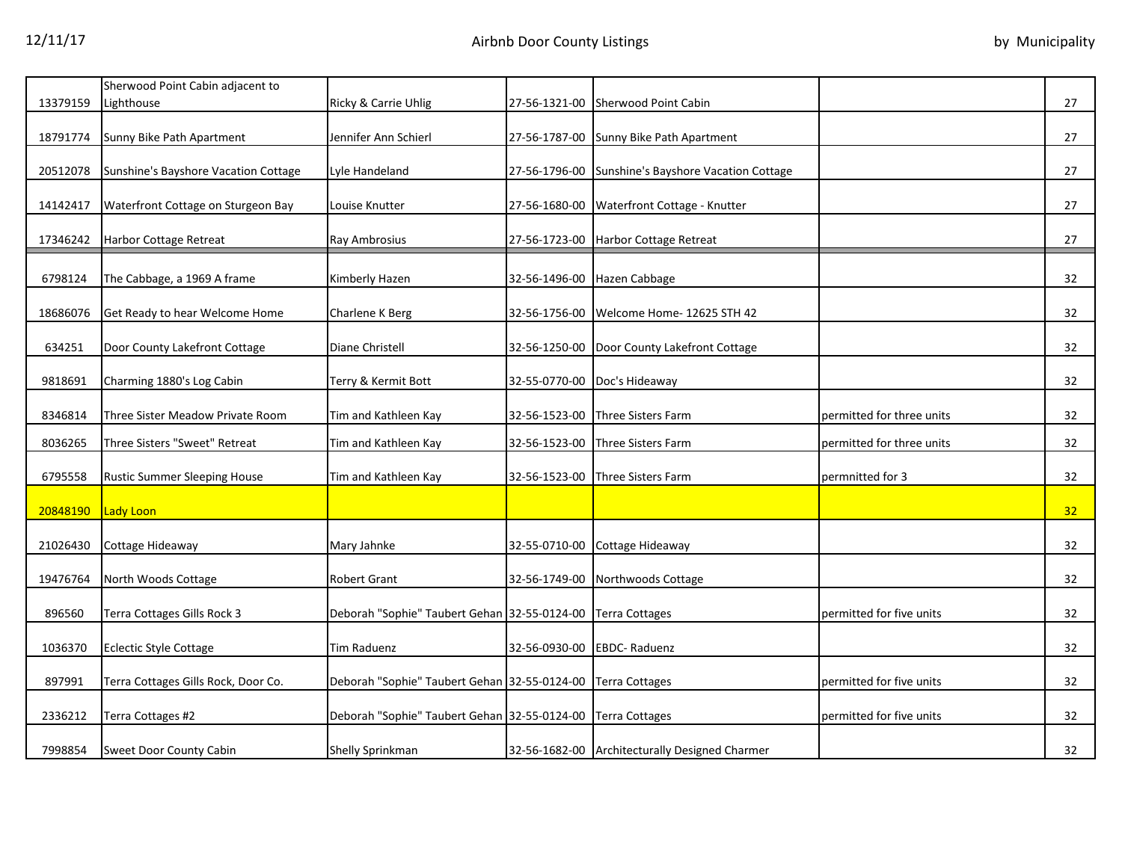|          | Sherwood Point Cabin adjacent to     |                                              |               |                                                    |                           |    |
|----------|--------------------------------------|----------------------------------------------|---------------|----------------------------------------------------|---------------------------|----|
| 13379159 | Lighthouse                           | Ricky & Carrie Uhlig                         |               | 27-56-1321-00 Sherwood Point Cabin                 |                           | 27 |
|          |                                      |                                              |               |                                                    |                           |    |
| 18791774 | Sunny Bike Path Apartment            | Jennifer Ann Schierl                         |               | 27-56-1787-00 Sunny Bike Path Apartment            |                           | 27 |
|          |                                      |                                              |               |                                                    |                           |    |
| 20512078 | Sunshine's Bayshore Vacation Cottage | Lyle Handeland                               |               | 27-56-1796-00 Sunshine's Bayshore Vacation Cottage |                           | 27 |
|          |                                      |                                              |               |                                                    |                           |    |
| 14142417 | Waterfront Cottage on Sturgeon Bay   | Louise Knutter                               |               | 27-56-1680-00 Waterfront Cottage - Knutter         |                           | 27 |
|          |                                      |                                              |               |                                                    |                           |    |
| 17346242 | <b>Harbor Cottage Retreat</b>        | Ray Ambrosius                                |               | 27-56-1723-00 Harbor Cottage Retreat               |                           | 27 |
|          |                                      |                                              |               |                                                    |                           |    |
| 6798124  | The Cabbage, a 1969 A frame          | Kimberly Hazen                               |               | 32-56-1496-00 Hazen Cabbage                        |                           | 32 |
|          |                                      |                                              |               |                                                    |                           |    |
| 18686076 | Get Ready to hear Welcome Home       | Charlene K Berg                              | 32-56-1756-00 | Welcome Home- 12625 STH 42                         |                           | 32 |
|          |                                      |                                              |               |                                                    |                           |    |
| 634251   | Door County Lakefront Cottage        | Diane Christell                              |               | 32-56-1250-00 Door County Lakefront Cottage        |                           | 32 |
|          |                                      |                                              |               |                                                    |                           |    |
| 9818691  | Charming 1880's Log Cabin            | Terry & Kermit Bott                          |               | 32-55-0770-00 Doc's Hideaway                       |                           | 32 |
|          |                                      |                                              |               |                                                    |                           |    |
| 8346814  | Three Sister Meadow Private Room     | Tim and Kathleen Kay                         |               | 32-56-1523-00 Three Sisters Farm                   | permitted for three units | 32 |
| 8036265  | Three Sisters "Sweet" Retreat        | Tim and Kathleen Kay                         | 32-56-1523-00 | <b>Three Sisters Farm</b>                          | permitted for three units | 32 |
|          |                                      |                                              |               |                                                    |                           |    |
| 6795558  | <b>Rustic Summer Sleeping House</b>  | Tim and Kathleen Kay                         | 32-56-1523-00 | Three Sisters Farm                                 | permnitted for 3          | 32 |
|          |                                      |                                              |               |                                                    |                           |    |
| 20848190 | Lady Loon                            |                                              |               |                                                    |                           | 32 |
|          |                                      |                                              |               |                                                    |                           |    |
| 21026430 | Cottage Hideaway                     | Mary Jahnke                                  |               | 32-55-0710-00 Cottage Hideaway                     |                           | 32 |
|          |                                      |                                              |               |                                                    |                           |    |
| 19476764 | North Woods Cottage                  | Robert Grant                                 |               | 32-56-1749-00 Northwoods Cottage                   |                           | 32 |
|          |                                      |                                              |               |                                                    |                           |    |
| 896560   | Terra Cottages Gills Rock 3          | Deborah "Sophie" Taubert Gehan 32-55-0124-00 |               | <b>Terra Cottages</b>                              | permitted for five units  | 32 |
|          |                                      |                                              |               |                                                    |                           |    |
| 1036370  | <b>Eclectic Style Cottage</b>        | <b>Tim Raduenz</b>                           |               | 32-56-0930-00 EBDC- Raduenz                        |                           | 32 |
|          |                                      |                                              |               |                                                    |                           |    |
| 897991   | Terra Cottages Gills Rock, Door Co.  | Deborah "Sophie" Taubert Gehan 32-55-0124-00 |               | <b>Terra Cottages</b>                              | permitted for five units  | 32 |
|          |                                      |                                              |               |                                                    |                           |    |
| 2336212  | Terra Cottages #2                    | Deborah "Sophie" Taubert Gehan 32-55-0124-00 |               | <b>Terra Cottages</b>                              | permitted for five units  | 32 |
|          |                                      |                                              |               |                                                    |                           |    |
| 7998854  | Sweet Door County Cabin              | Shelly Sprinkman                             |               | 32-56-1682-00 Architecturally Designed Charmer     |                           | 32 |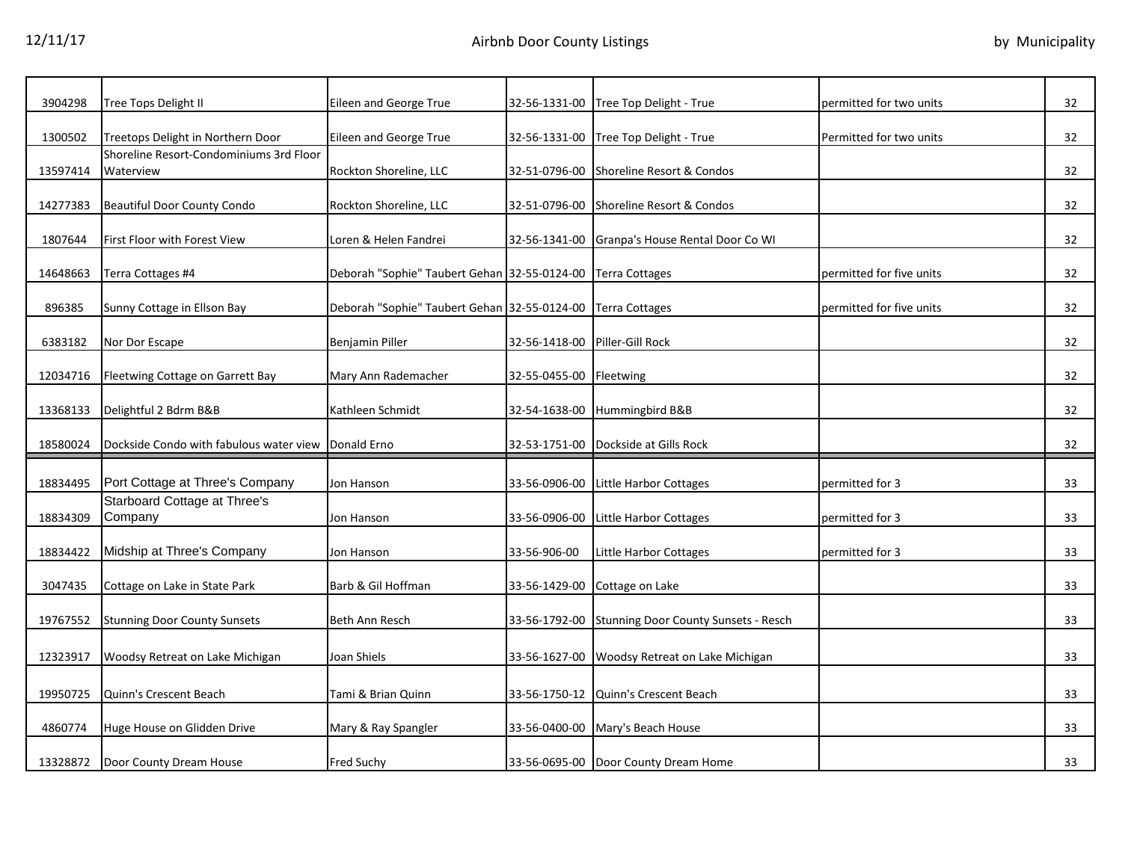| 3904298  | Tree Tops Delight II                                | Eileen and George True                       | 32-56-1331-00 | Tree Top Delight - True                            | permitted for two units  | 32 |
|----------|-----------------------------------------------------|----------------------------------------------|---------------|----------------------------------------------------|--------------------------|----|
| 1300502  | Treetops Delight in Northern Door                   | Eileen and George True                       | 32-56-1331-00 | Tree Top Delight - True                            | Permitted for two units  | 32 |
|          | Shoreline Resort-Condominiums 3rd Floor             |                                              |               |                                                    |                          |    |
| 13597414 | Waterview                                           | Rockton Shoreline, LLC                       | 32-51-0796-00 | Shoreline Resort & Condos                          |                          | 32 |
| 14277383 | <b>Beautiful Door County Condo</b>                  | Rockton Shoreline, LLC                       | 32-51-0796-00 | Shoreline Resort & Condos                          |                          | 32 |
| 1807644  | First Floor with Forest View                        | Loren & Helen Fandrei                        |               | 32-56-1341-00 Granpa's House Rental Door Co WI     |                          | 32 |
| 14648663 | Terra Cottages #4                                   | Deborah "Sophie" Taubert Gehan 32-55-0124-00 |               | <b>Terra Cottages</b>                              | permitted for five units | 32 |
| 896385   | Sunny Cottage in Ellson Bay                         | Deborah "Sophie" Taubert Gehan 32-55-0124-00 |               | <b>Terra Cottages</b>                              | permitted for five units | 32 |
| 6383182  | Nor Dor Escape                                      | <b>Benjamin Piller</b>                       | 32-56-1418-00 | Piller-Gill Rock                                   |                          | 32 |
| 12034716 | Fleetwing Cottage on Garrett Bay                    | Mary Ann Rademacher                          | 32-55-0455-00 | Fleetwing                                          |                          | 32 |
| 13368133 | Delightful 2 Bdrm B&B                               | Kathleen Schmidt                             | 32-54-1638-00 | Hummingbird B&B                                    |                          | 32 |
| 18580024 | Dockside Condo with fabulous water view Donald Erno |                                              |               | 32-53-1751-00 Dockside at Gills Rock               |                          | 32 |
| 18834495 | Port Cottage at Three's Company                     | Jon Hanson                                   | 33-56-0906-00 | Little Harbor Cottages                             | permitted for 3          | 33 |
| 18834309 | Starboard Cottage at Three's<br>Company             | Jon Hanson                                   | 33-56-0906-00 | Little Harbor Cottages                             | permitted for 3          | 33 |
|          |                                                     |                                              |               |                                                    |                          |    |
| 18834422 | Midship at Three's Company                          | Jon Hanson                                   | 33-56-906-00  | Little Harbor Cottages                             | permitted for 3          | 33 |
| 3047435  | Cottage on Lake in State Park                       | Barb & Gil Hoffman                           | 33-56-1429-00 | Cottage on Lake                                    |                          | 33 |
| 19767552 | <b>Stunning Door County Sunsets</b>                 | <b>Beth Ann Resch</b>                        |               | 33-56-1792-00 Stunning Door County Sunsets - Resch |                          | 33 |
| 12323917 | Woodsy Retreat on Lake Michigan                     | Joan Shiels                                  | 33-56-1627-00 | Woodsy Retreat on Lake Michigan                    |                          | 33 |
|          |                                                     |                                              |               |                                                    |                          |    |
| 19950725 | Quinn's Crescent Beach                              | Tami & Brian Quinn                           | 33-56-1750-12 | Quinn's Crescent Beach                             |                          | 33 |
| 4860774  | Huge House on Glidden Drive                         | Mary & Ray Spangler                          |               | 33-56-0400-00 Mary's Beach House                   |                          | 33 |
| 13328872 | Door County Dream House                             | <b>Fred Suchy</b>                            |               | 33-56-0695-00 Door County Dream Home               |                          | 33 |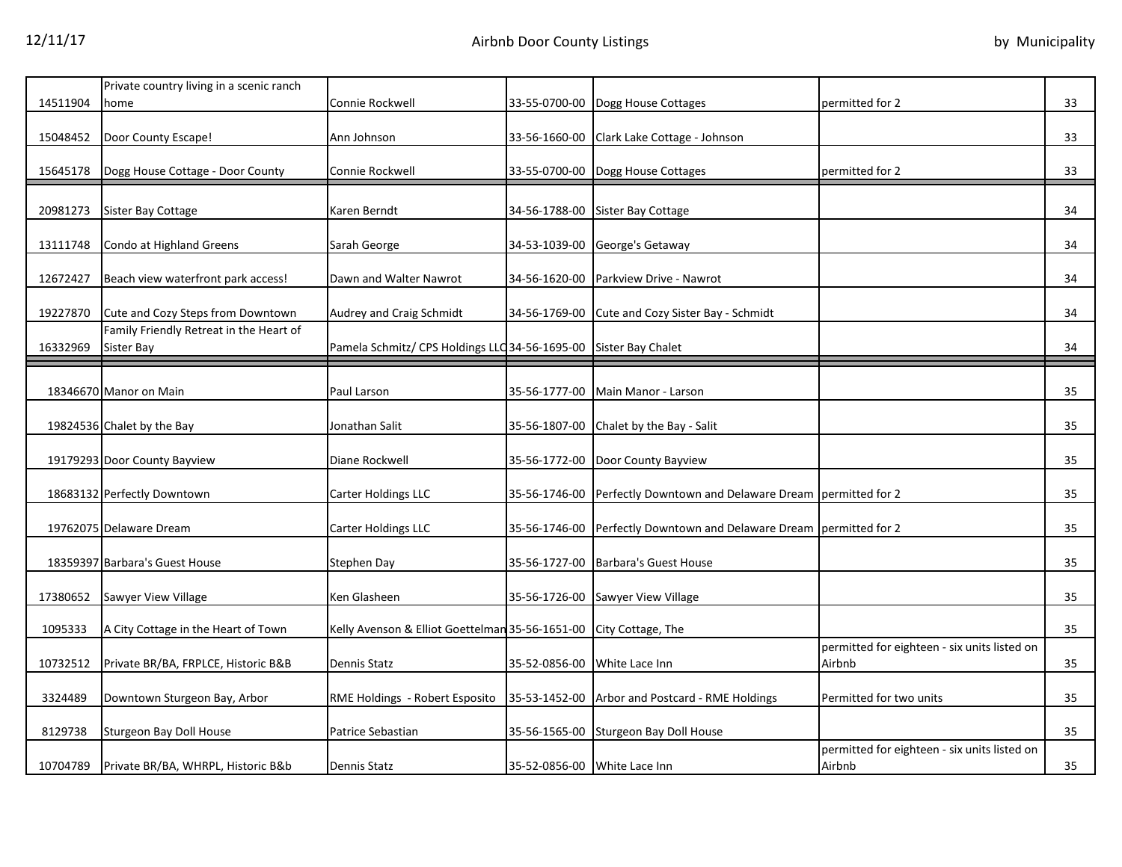|          | Private country living in a scenic ranch              |                                                                   |                              |                                                                     |                                                        |    |
|----------|-------------------------------------------------------|-------------------------------------------------------------------|------------------------------|---------------------------------------------------------------------|--------------------------------------------------------|----|
| 14511904 | home                                                  | Connie Rockwell                                                   |                              | 33-55-0700-00 Dogg House Cottages                                   | permitted for 2                                        | 33 |
| 15048452 | Door County Escape!                                   | Ann Johnson                                                       | 33-56-1660-00                | Clark Lake Cottage - Johnson                                        |                                                        | 33 |
| 15645178 | Dogg House Cottage - Door County                      | Connie Rockwell                                                   |                              | 33-55-0700-00 Dogg House Cottages                                   | permitted for 2                                        | 33 |
|          |                                                       |                                                                   |                              |                                                                     |                                                        |    |
| 20981273 | Sister Bay Cottage                                    | Karen Berndt                                                      |                              | 34-56-1788-00 Sister Bay Cottage                                    |                                                        | 34 |
| 13111748 | Condo at Highland Greens                              | Sarah George                                                      |                              | 34-53-1039-00 George's Getaway                                      |                                                        | 34 |
| 12672427 | Beach view waterfront park access!                    | Dawn and Walter Nawrot                                            | 34-56-1620-00                | Parkview Drive - Nawrot                                             |                                                        | 34 |
| 19227870 | Cute and Cozy Steps from Downtown                     | Audrey and Craig Schmidt                                          |                              | 34-56-1769-00 Cute and Cozy Sister Bay - Schmidt                    |                                                        | 34 |
| 16332969 | Family Friendly Retreat in the Heart of<br>Sister Bay | Pamela Schmitz/ CPS Holdings LLC 34-56-1695-00 Sister Bay Chalet  |                              |                                                                     |                                                        | 34 |
|          |                                                       |                                                                   |                              |                                                                     |                                                        |    |
|          | 18346670 Manor on Main                                | Paul Larson                                                       |                              | 35-56-1777-00 Main Manor - Larson                                   |                                                        | 35 |
|          | 19824536 Chalet by the Bay                            | Jonathan Salit                                                    | 35-56-1807-00                | Chalet by the Bay - Salit                                           |                                                        | 35 |
|          | 19179293 Door County Bayview                          | Diane Rockwell                                                    |                              | 35-56-1772-00 Door County Bayview                                   |                                                        | 35 |
|          | 18683132 Perfectly Downtown                           | Carter Holdings LLC                                               |                              | 35-56-1746-00 Perfectly Downtown and Delaware Dream permitted for 2 |                                                        | 35 |
|          | 19762075 Delaware Dream                               | Carter Holdings LLC                                               | 35-56-1746-00                | Perfectly Downtown and Delaware Dream permitted for 2               |                                                        | 35 |
|          | 18359397 Barbara's Guest House                        | Stephen Day                                                       | 35-56-1727-00                | <b>Barbara's Guest House</b>                                        |                                                        | 35 |
| 17380652 | Sawyer View Village                                   | Ken Glasheen                                                      |                              | 35-56-1726-00 Sawyer View Village                                   |                                                        | 35 |
| 1095333  | A City Cottage in the Heart of Town                   | Kelly Avenson & Elliot Goettelman 35-56-1651-00 City Cottage, The |                              |                                                                     |                                                        | 35 |
| 10732512 | Private BR/BA, FRPLCE, Historic B&B                   | Dennis Statz                                                      | 35-52-0856-00                | White Lace Inn                                                      | permitted for eighteen - six units listed on<br>Airbnb | 35 |
| 3324489  | Downtown Sturgeon Bay, Arbor                          | RME Holdings - Robert Esposito                                    |                              | 35-53-1452-00 Arbor and Postcard - RME Holdings                     | Permitted for two units                                | 35 |
|          |                                                       |                                                                   |                              |                                                                     |                                                        |    |
| 8129738  | Sturgeon Bay Doll House                               | Patrice Sebastian                                                 |                              | 35-56-1565-00 Sturgeon Bay Doll House                               |                                                        | 35 |
| 10704789 | Private BR/BA, WHRPL, Historic B&b                    | <b>Dennis Statz</b>                                               | 35-52-0856-00 White Lace Inn |                                                                     | permitted for eighteen - six units listed on<br>Airbnb | 35 |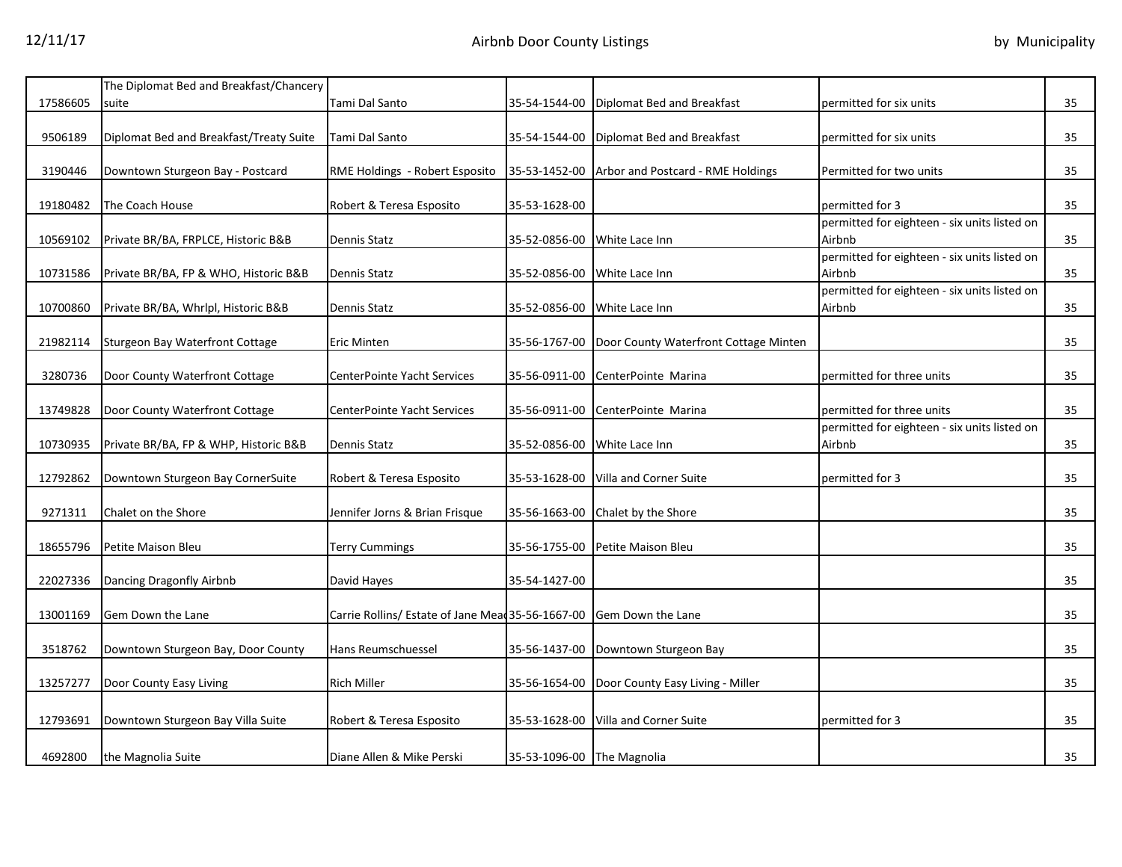|          | The Diplomat Bed and Breakfast/Chancery |                                                                     |                              |                                                     |                                                        |    |
|----------|-----------------------------------------|---------------------------------------------------------------------|------------------------------|-----------------------------------------------------|--------------------------------------------------------|----|
| 17586605 | suite                                   | Tami Dal Santo                                                      | 35-54-1544-00                | Diplomat Bed and Breakfast                          | permitted for six units                                | 35 |
| 9506189  | Diplomat Bed and Breakfast/Treaty Suite | Tami Dal Santo                                                      |                              | 35-54-1544-00 Diplomat Bed and Breakfast            | permitted for six units                                | 35 |
| 3190446  | Downtown Sturgeon Bay - Postcard        | RME Holdings - Robert Esposito                                      |                              | 35-53-1452-00 Arbor and Postcard - RME Holdings     | Permitted for two units                                | 35 |
| 19180482 | The Coach House                         | Robert & Teresa Esposito                                            | 35-53-1628-00                |                                                     | permitted for 3                                        | 35 |
| 10569102 | Private BR/BA, FRPLCE, Historic B&B     | <b>Dennis Statz</b>                                                 | 35-52-0856-00 White Lace Inn |                                                     | permitted for eighteen - six units listed on<br>Airbnb | 35 |
| 10731586 | Private BR/BA, FP & WHO, Historic B&B   | <b>Dennis Statz</b>                                                 | 35-52-0856-00 White Lace Inn |                                                     | permitted for eighteen - six units listed on<br>Airbnb | 35 |
| 10700860 | Private BR/BA, Whrlpl, Historic B&B     | Dennis Statz                                                        | 35-52-0856-00 White Lace Inn |                                                     | permitted for eighteen - six units listed on<br>Airbnb | 35 |
| 21982114 | Sturgeon Bay Waterfront Cottage         | Eric Minten                                                         |                              | 35-56-1767-00 Door County Waterfront Cottage Minten |                                                        | 35 |
| 3280736  | Door County Waterfront Cottage          | CenterPointe Yacht Services                                         | 35-56-0911-00                | CenterPointe Marina                                 | permitted for three units                              | 35 |
| 13749828 | Door County Waterfront Cottage          | CenterPointe Yacht Services                                         | 35-56-0911-00                | CenterPointe Marina                                 | permitted for three units                              | 35 |
| 10730935 | Private BR/BA, FP & WHP, Historic B&B   | <b>Dennis Statz</b>                                                 | 35-52-0856-00                | White Lace Inn                                      | permitted for eighteen - six units listed on<br>Airbnb | 35 |
| 12792862 | Downtown Sturgeon Bay CornerSuite       | Robert & Teresa Esposito                                            |                              | 35-53-1628-00 Villa and Corner Suite                | permitted for 3                                        | 35 |
| 9271311  | Chalet on the Shore                     | Jennifer Jorns & Brian Frisque                                      |                              | 35-56-1663-00 Chalet by the Shore                   |                                                        | 35 |
| 18655796 | Petite Maison Bleu                      | <b>Terry Cummings</b>                                               |                              | 35-56-1755-00 Petite Maison Bleu                    |                                                        | 35 |
| 22027336 | Dancing Dragonfly Airbnb                | David Hayes                                                         | 35-54-1427-00                |                                                     |                                                        | 35 |
| 13001169 | Gem Down the Lane                       | Carrie Rollins/ Estate of Jane Mead 35-56-1667-00 Gem Down the Lane |                              |                                                     |                                                        | 35 |
| 3518762  | Downtown Sturgeon Bay, Door County      | <b>Hans Reumschuessel</b>                                           |                              | 35-56-1437-00 Downtown Sturgeon Bay                 |                                                        | 35 |
| 13257277 | Door County Easy Living                 | <b>Rich Miller</b>                                                  |                              | 35-56-1654-00 Door County Easy Living - Miller      |                                                        | 35 |
| 12793691 | Downtown Sturgeon Bay Villa Suite       | Robert & Teresa Esposito                                            | 35-53-1628-00                | Villa and Corner Suite                              | permitted for 3                                        | 35 |
| 4692800  | the Magnolia Suite                      | Diane Allen & Mike Perski                                           | 35-53-1096-00 The Magnolia   |                                                     |                                                        | 35 |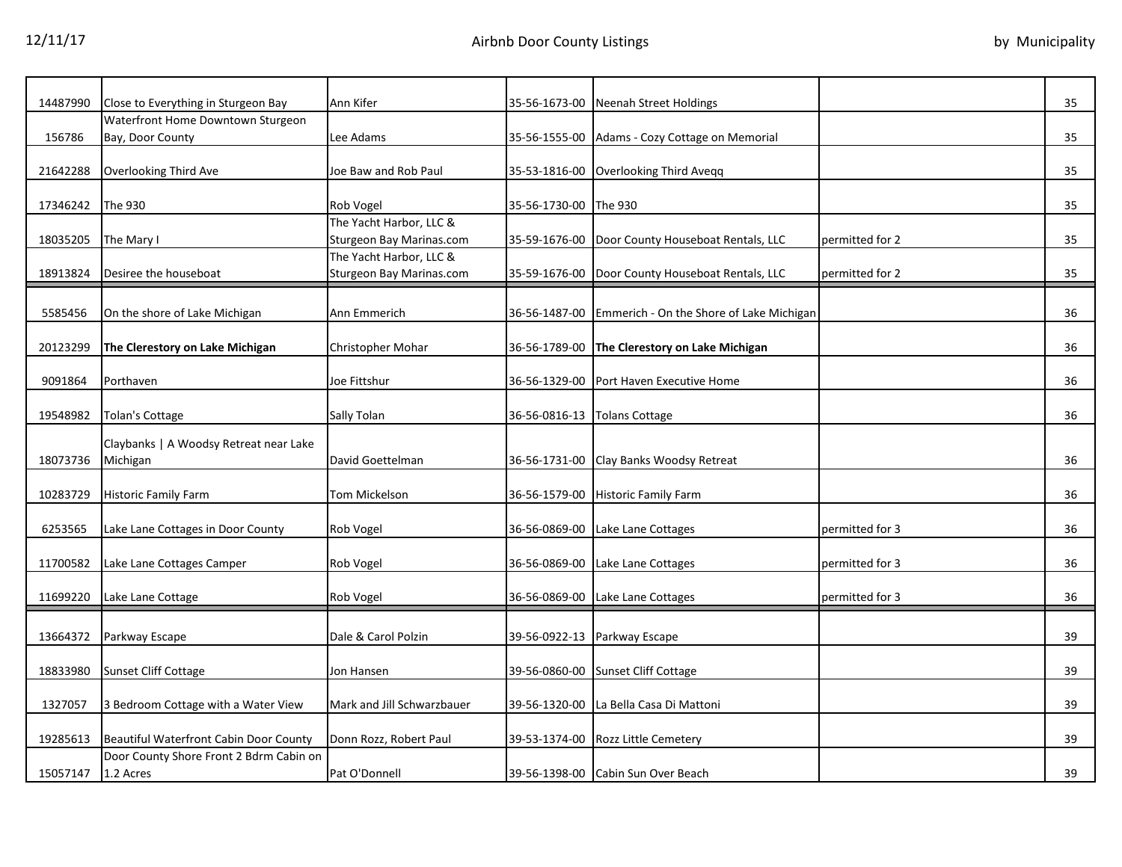| 14487990 | Close to Everything in Sturgeon Bay<br>Waterfront Home Downtown Sturgeon | Ann Kifer                  |                       | 35-56-1673-00 Neenah Street Holdings     |                 | 35 |
|----------|--------------------------------------------------------------------------|----------------------------|-----------------------|------------------------------------------|-----------------|----|
|          |                                                                          |                            |                       |                                          |                 |    |
| 156786   | Bay, Door County                                                         | Lee Adams                  | 35-56-1555-00         | Adams - Cozy Cottage on Memorial         |                 | 35 |
| 21642288 |                                                                          | Joe Baw and Rob Paul       |                       |                                          |                 | 35 |
|          | Overlooking Third Ave                                                    |                            | 35-53-1816-00         | Overlooking Third Aveqq                  |                 |    |
| 17346242 | The 930                                                                  | Rob Vogel                  | 35-56-1730-00 The 930 |                                          |                 | 35 |
|          |                                                                          | The Yacht Harbor, LLC &    |                       |                                          |                 |    |
| 18035205 | The Mary I                                                               | Sturgeon Bay Marinas.com   | 35-59-1676-00         | Door County Houseboat Rentals, LLC       | permitted for 2 | 35 |
|          |                                                                          | The Yacht Harbor, LLC &    |                       |                                          |                 |    |
| 18913824 | Desiree the houseboat                                                    | Sturgeon Bay Marinas.com   | 35-59-1676-00         | Door County Houseboat Rentals, LLC       | permitted for 2 | 35 |
|          |                                                                          |                            |                       |                                          |                 |    |
| 5585456  | On the shore of Lake Michigan                                            | Ann Emmerich               | 36-56-1487-00         | Emmerich - On the Shore of Lake Michigan |                 | 36 |
|          |                                                                          |                            |                       |                                          |                 |    |
| 20123299 | The Clerestory on Lake Michigan                                          | Christopher Mohar          | 36-56-1789-00         | The Clerestory on Lake Michigan          |                 | 36 |
|          |                                                                          |                            |                       |                                          |                 |    |
| 9091864  | Porthaven                                                                | Joe Fittshur               | 36-56-1329-00         | Port Haven Executive Home                |                 | 36 |
|          |                                                                          |                            |                       |                                          |                 |    |
| 19548982 | Tolan's Cottage                                                          | Sally Tolan                | 36-56-0816-13         | <b>Tolans Cottage</b>                    |                 | 36 |
|          |                                                                          |                            |                       |                                          |                 |    |
|          | Claybanks   A Woodsy Retreat near Lake                                   |                            |                       |                                          |                 |    |
| 18073736 | Michigan                                                                 | David Goettelman           |                       | 36-56-1731-00 Clay Banks Woodsy Retreat  |                 | 36 |
|          |                                                                          |                            |                       |                                          |                 |    |
| 10283729 | <b>Historic Family Farm</b>                                              | Tom Mickelson              | 36-56-1579-00         | <b>Historic Family Farm</b>              |                 | 36 |
|          |                                                                          |                            |                       |                                          |                 |    |
| 6253565  | Lake Lane Cottages in Door County                                        | Rob Vogel                  | 36-56-0869-00         | Lake Lane Cottages                       | permitted for 3 | 36 |
|          |                                                                          |                            |                       |                                          |                 |    |
| 11700582 | Lake Lane Cottages Camper                                                | Rob Vogel                  | 36-56-0869-00         | Lake Lane Cottages                       | permitted for 3 | 36 |
|          |                                                                          |                            |                       |                                          |                 |    |
| 11699220 | Lake Lane Cottage                                                        | Rob Vogel                  | 36-56-0869-00         | Lake Lane Cottages                       | permitted for 3 | 36 |
|          |                                                                          |                            |                       |                                          |                 |    |
| 13664372 | Parkway Escape                                                           | Dale & Carol Polzin        | 39-56-0922-13         | Parkway Escape                           |                 | 39 |
|          |                                                                          |                            |                       |                                          |                 |    |
| 18833980 | Sunset Cliff Cottage                                                     | Jon Hansen                 | 39-56-0860-00         | <b>Sunset Cliff Cottage</b>              |                 | 39 |
|          |                                                                          |                            |                       |                                          |                 |    |
| 1327057  | 3 Bedroom Cottage with a Water View                                      | Mark and Jill Schwarzbauer | 39-56-1320-00         | La Bella Casa Di Mattoni                 |                 | 39 |
|          |                                                                          |                            |                       |                                          |                 |    |
| 19285613 | Beautiful Waterfront Cabin Door County                                   | Donn Rozz, Robert Paul     | 39-53-1374-00         | Rozz Little Cemetery                     |                 | 39 |
|          | Door County Shore Front 2 Bdrm Cabin on                                  |                            |                       |                                          |                 |    |
| 15057147 | 1.2 Acres                                                                | Pat O'Donnell              |                       | 39-56-1398-00 Cabin Sun Over Beach       |                 | 39 |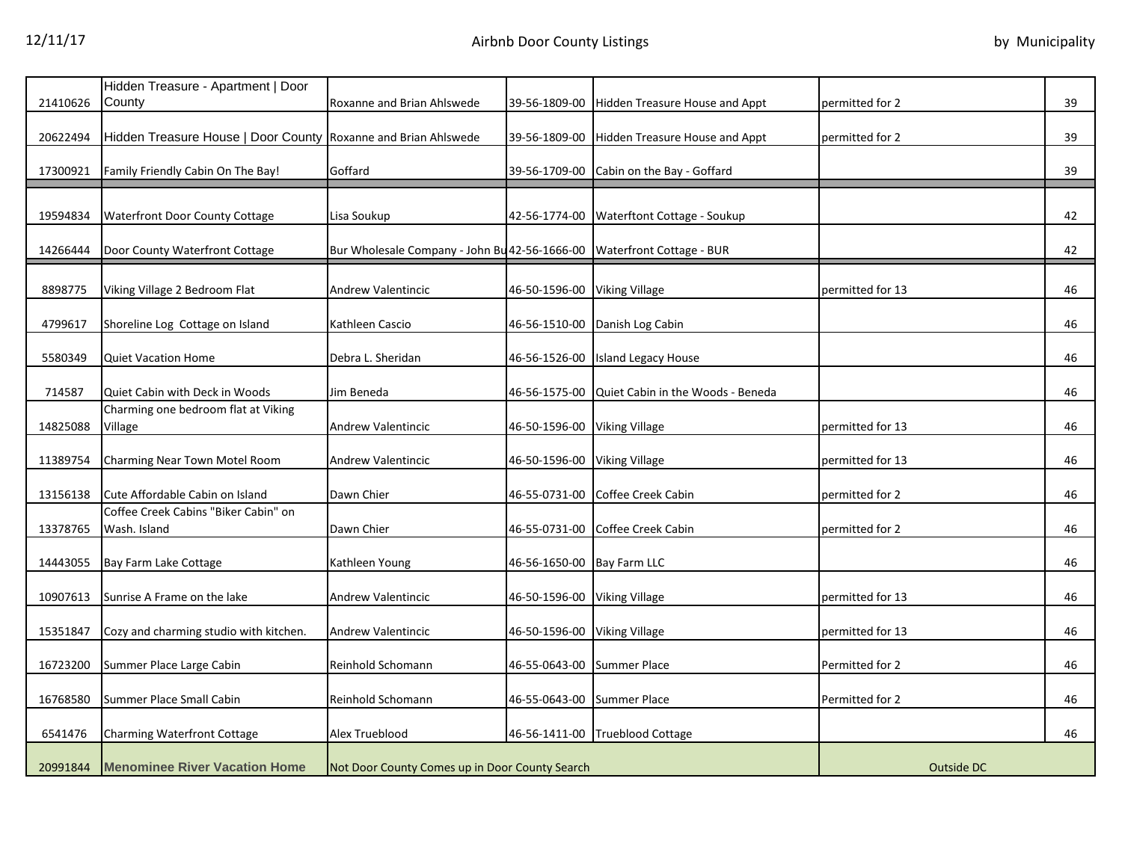| 21410626 | Hidden Treasure - Apartment   Door<br>County                   | Roxanne and Brian Ahlswede                                             | 39-56-1809-00                | <b>Hidden Treasure House and Appt</b> | permitted for 2  | 39 |
|----------|----------------------------------------------------------------|------------------------------------------------------------------------|------------------------------|---------------------------------------|------------------|----|
|          |                                                                |                                                                        |                              |                                       |                  |    |
| 20622494 | Hidden Treasure House   Door County Roxanne and Brian Ahlswede |                                                                        | 39-56-1809-00                | Hidden Treasure House and Appt        | permitted for 2  | 39 |
| 17300921 | Family Friendly Cabin On The Bay!                              | Goffard                                                                | 39-56-1709-00                | Cabin on the Bay - Goffard            |                  | 39 |
|          |                                                                |                                                                        |                              |                                       |                  |    |
| 19594834 | Waterfront Door County Cottage                                 | Lisa Soukup                                                            | 42-56-1774-00                | Waterftont Cottage - Soukup           |                  | 42 |
| 14266444 | Door County Waterfront Cottage                                 | Bur Wholesale Company - John Bu 42-56-1666-00 Waterfront Cottage - BUR |                              |                                       |                  | 42 |
| 8898775  | Viking Village 2 Bedroom Flat                                  | <b>Andrew Valentincic</b>                                              | 46-50-1596-00 Viking Village |                                       | permitted for 13 | 46 |
| 4799617  | Shoreline Log Cottage on Island                                | Kathleen Cascio                                                        |                              | 46-56-1510-00 Danish Log Cabin        |                  | 46 |
| 5580349  | <b>Quiet Vacation Home</b>                                     | Debra L. Sheridan                                                      | 46-56-1526-00                | Island Legacy House                   |                  | 46 |
| 714587   | Quiet Cabin with Deck in Woods                                 | Jim Beneda                                                             | 46-56-1575-00                | Quiet Cabin in the Woods - Beneda     |                  | 46 |
| 14825088 | Charming one bedroom flat at Viking<br>Village                 | Andrew Valentincic                                                     | 46-50-1596-00 Viking Village |                                       | permitted for 13 | 46 |
| 11389754 | Charming Near Town Motel Room                                  | <b>Andrew Valentincic</b>                                              | 46-50-1596-00 Viking Village |                                       | permitted for 13 | 46 |
| 13156138 | Cute Affordable Cabin on Island                                | Dawn Chier                                                             |                              | 46-55-0731-00 Coffee Creek Cabin      | permitted for 2  | 46 |
| 13378765 | Coffee Creek Cabins "Biker Cabin" on<br>Wash. Island           | Dawn Chier                                                             | 46-55-0731-00                | Coffee Creek Cabin                    | permitted for 2  | 46 |
| 14443055 | Bay Farm Lake Cottage                                          | Kathleen Young                                                         | 46-56-1650-00 Bay Farm LLC   |                                       |                  | 46 |
| 10907613 | Sunrise A Frame on the lake                                    | Andrew Valentincic                                                     | 46-50-1596-00 Viking Village |                                       | permitted for 13 | 46 |
| 15351847 | Cozy and charming studio with kitchen.                         | <b>Andrew Valentincic</b>                                              | 46-50-1596-00 Viking Village |                                       | permitted for 13 | 46 |
| 16723200 | Summer Place Large Cabin                                       | Reinhold Schomann                                                      | 46-55-0643-00                | <b>Summer Place</b>                   | Permitted for 2  | 46 |
| 16768580 | Summer Place Small Cabin                                       | Reinhold Schomann                                                      | 46-55-0643-00 Summer Place   |                                       | Permitted for 2  | 46 |
| 6541476  | <b>Charming Waterfront Cottage</b>                             | Alex Trueblood                                                         |                              | 46-56-1411-00 Trueblood Cottage       |                  | 46 |
| 20991844 | <b>Menominee River Vacation Home</b>                           | Not Door County Comes up in Door County Search                         |                              |                                       | Outside DC       |    |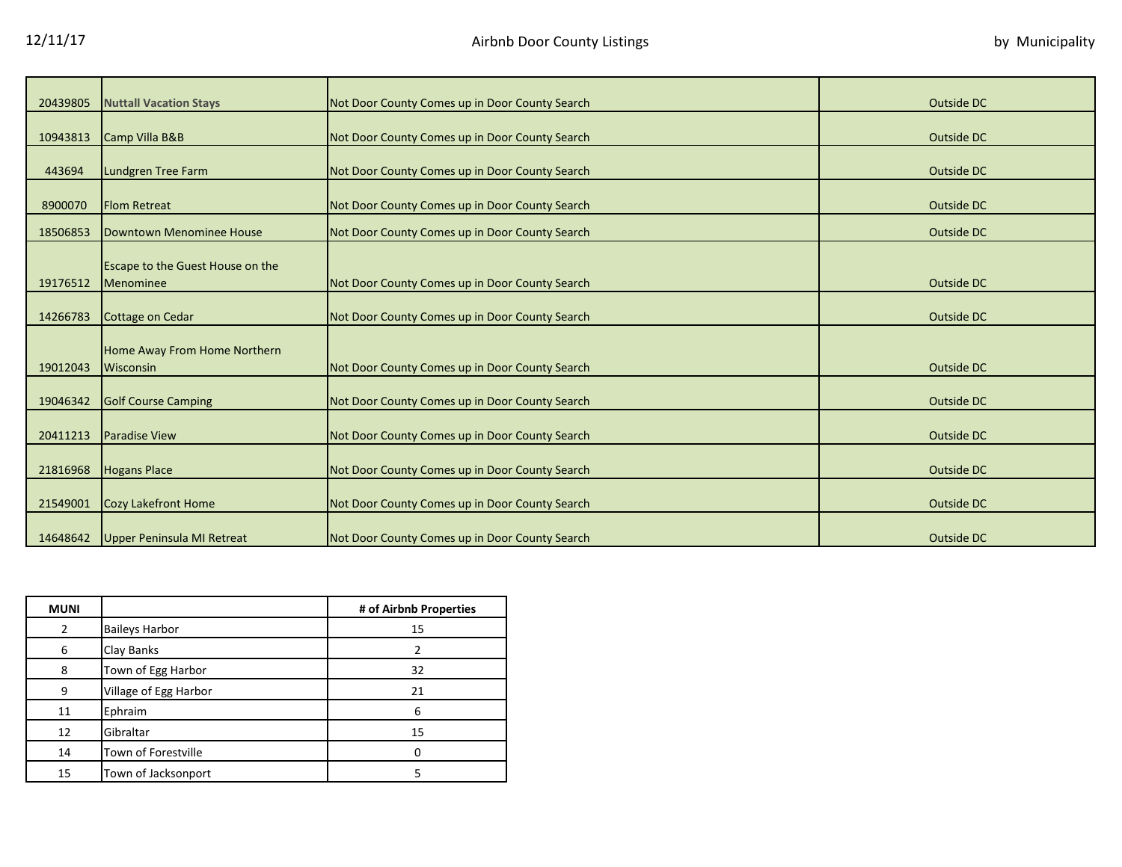| 20439805 | <b>Nuttall Vacation Stays</b>                               | Not Door County Comes up in Door County Search | Outside DC |
|----------|-------------------------------------------------------------|------------------------------------------------|------------|
|          |                                                             |                                                |            |
| 10943813 | Camp Villa B&B                                              | Not Door County Comes up in Door County Search | Outside DC |
|          |                                                             |                                                |            |
| 443694   | <b>Lundgren Tree Farm</b>                                   | Not Door County Comes up in Door County Search | Outside DC |
| 8900070  | <b>Flom Retreat</b>                                         | Not Door County Comes up in Door County Search | Outside DC |
| 18506853 | Downtown Menominee House                                    | Not Door County Comes up in Door County Search | Outside DC |
|          |                                                             |                                                |            |
| 19176512 | <b>Escape to the Guest House on the</b><br><b>Menominee</b> | Not Door County Comes up in Door County Search | Outside DC |
|          |                                                             |                                                |            |
| 14266783 | <b>Cottage on Cedar</b>                                     | Not Door County Comes up in Door County Search | Outside DC |
|          |                                                             |                                                |            |
|          | Home Away From Home Northern                                |                                                |            |
| 19012043 | <b>Wisconsin</b>                                            | Not Door County Comes up in Door County Search | Outside DC |
| 19046342 | <b>Golf Course Camping</b>                                  | Not Door County Comes up in Door County Search | Outside DC |
|          |                                                             |                                                |            |
| 20411213 | <b>Paradise View</b>                                        | Not Door County Comes up in Door County Search | Outside DC |
| 21816968 | <b>Hogans Place</b>                                         | Not Door County Comes up in Door County Search | Outside DC |
|          |                                                             |                                                |            |
| 21549001 | <b>Cozy Lakefront Home</b>                                  | Not Door County Comes up in Door County Search | Outside DC |
| 14648642 | Upper Peninsula MI Retreat                                  | Not Door County Comes up in Door County Search | Outside DC |

| <b>MUNI</b> |                       | # of Airbnb Properties |
|-------------|-----------------------|------------------------|
| 2           | <b>Baileys Harbor</b> | 15                     |
| 6           | Clay Banks            |                        |
| 8           | Town of Egg Harbor    | 32                     |
| 9           | Village of Egg Harbor | 21                     |
| 11          | Ephraim               | 6                      |
| 12          | Gibraltar             | 15                     |
| 14          | Town of Forestville   |                        |
| 15          | Town of Jacksonport   |                        |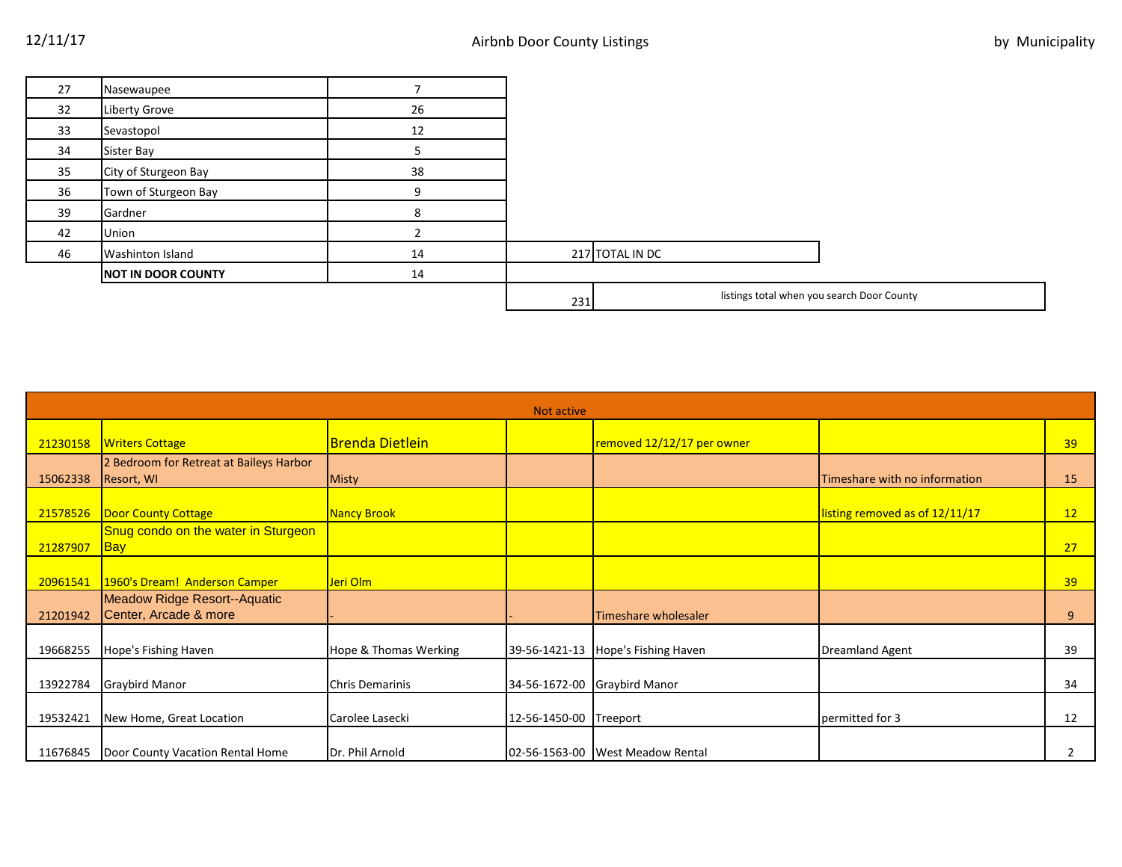| 27 | Nasewaupee                |    |                                                   |  |
|----|---------------------------|----|---------------------------------------------------|--|
| 32 | Liberty Grove             | 26 |                                                   |  |
| 33 | Sevastopol                | 12 |                                                   |  |
| 34 | Sister Bay                |    |                                                   |  |
| 35 | City of Sturgeon Bay      | 38 |                                                   |  |
| 36 | Town of Sturgeon Bay      |    |                                                   |  |
| 39 | Gardner                   | Õ  |                                                   |  |
| 42 | Union                     |    |                                                   |  |
| 46 | Washinton Island          | 14 | 217 TOTAL IN DC                                   |  |
|    | <b>NOT IN DOOR COUNTY</b> | 14 |                                                   |  |
|    |                           |    | listings total when you search Door County<br>231 |  |

|          | Not active                                            |                        |               |                                    |                                |    |  |
|----------|-------------------------------------------------------|------------------------|---------------|------------------------------------|--------------------------------|----|--|
| 21230158 | <b>Writers Cottage</b>                                | <b>Brenda Dietlein</b> |               | removed 12/12/17 per owner         |                                | 39 |  |
| 15062338 | 2 Bedroom for Retreat at Baileys Harbor<br>Resort, WI | Misty                  |               |                                    | Timeshare with no information  | 15 |  |
| 21578526 | <b>Door County Cottage</b>                            | <b>Nancy Brook</b>     |               |                                    | listing removed as of 12/11/17 | 12 |  |
| 21287907 | Snug condo on the water in Sturgeon<br><b>Bay</b>     |                        |               |                                    |                                | 27 |  |
| 20961541 | 1960's Dream! Anderson Camper                         | Jeri Olm               |               |                                    |                                | 39 |  |
| 21201942 | Meadow Ridge Resort--Aquatic<br>Center, Arcade & more |                        |               | Timeshare wholesaler               |                                | 9  |  |
| 19668255 | Hope's Fishing Haven                                  | Hope & Thomas Werking  |               | 39-56-1421-13 Hope's Fishing Haven | <b>Dreamland Agent</b>         | 39 |  |
| 13922784 | <b>Graybird Manor</b>                                 | <b>Chris Demarinis</b> |               | 34-56-1672-00 Graybird Manor       |                                | 34 |  |
| 19532421 | New Home, Great Location                              | Carolee Lasecki        | 12-56-1450-00 | Treeport                           | permitted for 3                | 12 |  |
| 11676845 | Door County Vacation Rental Home                      | Dr. Phil Arnold        |               | 02-56-1563-00 West Meadow Rental   |                                |    |  |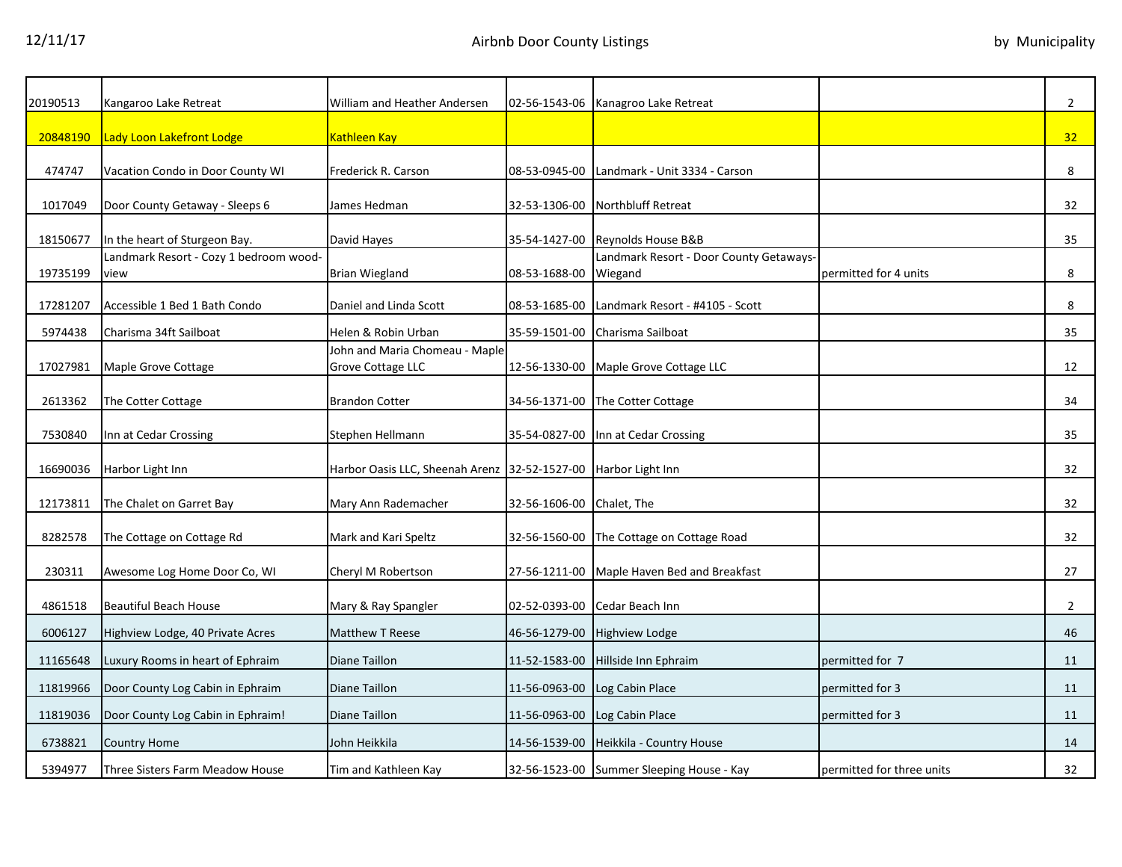| 20190513 | Kangaroo Lake Retreat                          | William and Heather Andersen                                   |                           | 02-56-1543-06 Kanagroo Lake Retreat                |                           | $\overline{2}$ |
|----------|------------------------------------------------|----------------------------------------------------------------|---------------------------|----------------------------------------------------|---------------------------|----------------|
| 20848190 | Lady Loon Lakefront Lodge                      | Kathleen Kay                                                   |                           |                                                    |                           | 32             |
| 474747   | Vacation Condo in Door County WI               | Frederick R. Carson                                            | 08-53-0945-00             | Landmark - Unit 3334 - Carson                      |                           | 8              |
| 1017049  | Door County Getaway - Sleeps 6                 | James Hedman                                                   |                           | 32-53-1306-00 Northbluff Retreat                   |                           | 32             |
| 18150677 | In the heart of Sturgeon Bay.                  | David Hayes                                                    |                           | 35-54-1427-00 Reynolds House B&B                   |                           | 35             |
| 19735199 | Landmark Resort - Cozy 1 bedroom wood-<br>view | <b>Brian Wiegland</b>                                          | 08-53-1688-00             | Landmark Resort - Door County Getaways-<br>Wiegand | permitted for 4 units     | 8              |
| 17281207 | Accessible 1 Bed 1 Bath Condo                  | Daniel and Linda Scott                                         | 08-53-1685-00             | Landmark Resort - #4105 - Scott                    |                           | 8              |
| 5974438  | Charisma 34ft Sailboat                         | Helen & Robin Urban                                            | 35-59-1501-00             | Charisma Sailboat                                  |                           | 35             |
| 17027981 | Maple Grove Cottage                            | John and Maria Chomeau - Maple<br>Grove Cottage LLC            | 12-56-1330-00             | Maple Grove Cottage LLC                            |                           | 12             |
| 2613362  | The Cotter Cottage                             | <b>Brandon Cotter</b>                                          | 34-56-1371-00             | The Cotter Cottage                                 |                           | 34             |
| 7530840  | Inn at Cedar Crossing                          | Stephen Hellmann                                               | 35-54-0827-00             | Inn at Cedar Crossing                              |                           | 35             |
| 16690036 | Harbor Light Inn                               | Harbor Oasis LLC, Sheenah Arenz 32-52-1527-00 Harbor Light Inn |                           |                                                    |                           | 32             |
| 12173811 | The Chalet on Garret Bay                       | Mary Ann Rademacher                                            | 32-56-1606-00 Chalet, The |                                                    |                           | 32             |
| 8282578  | The Cottage on Cottage Rd                      | Mark and Kari Speltz                                           |                           | 32-56-1560-00 The Cottage on Cottage Road          |                           | 32             |
| 230311   | Awesome Log Home Door Co, WI                   | Cheryl M Robertson                                             |                           | 27-56-1211-00 Maple Haven Bed and Breakfast        |                           | 27             |
| 4861518  | <b>Beautiful Beach House</b>                   | Mary & Ray Spangler                                            | 02-52-0393-00             | Cedar Beach Inn                                    |                           | $\overline{2}$ |
| 6006127  | Highview Lodge, 40 Private Acres               | <b>Matthew T Reese</b>                                         | 46-56-1279-00             | Highview Lodge                                     |                           | 46             |
| 11165648 | Luxury Rooms in heart of Ephraim               | <b>Diane Taillon</b>                                           | 11-52-1583-00             | Hillside Inn Ephraim                               | permitted for 7           | 11             |
| 11819966 | Door County Log Cabin in Ephraim               | Diane Taillon                                                  | 11-56-0963-00             | Log Cabin Place                                    | permitted for 3           | 11             |
| 11819036 | Door County Log Cabin in Ephraim!              | Diane Taillon                                                  | 11-56-0963-00             | Log Cabin Place                                    | permitted for 3           | 11             |
| 6738821  | Country Home                                   | John Heikkila                                                  | 14-56-1539-00             | Heikkila - Country House                           |                           | 14             |
| 5394977  | Three Sisters Farm Meadow House                | Tim and Kathleen Kay                                           |                           | 32-56-1523-00 Summer Sleeping House - Kay          | permitted for three units | 32             |